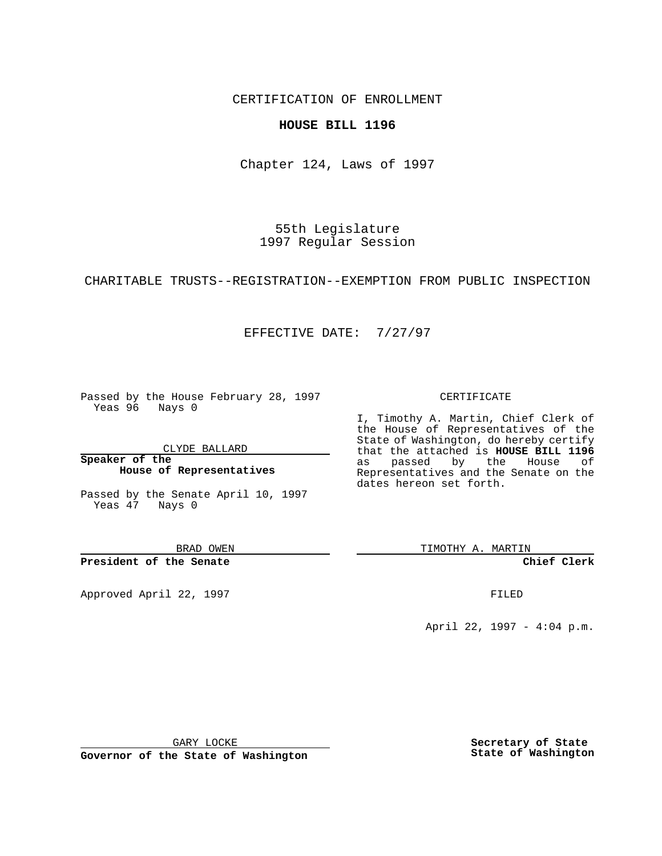CERTIFICATION OF ENROLLMENT

### **HOUSE BILL 1196**

Chapter 124, Laws of 1997

55th Legislature 1997 Regular Session

CHARITABLE TRUSTS--REGISTRATION--EXEMPTION FROM PUBLIC INSPECTION

## EFFECTIVE DATE: 7/27/97

Passed by the House February 28, 1997 Yeas 96 Nays 0

CLYDE BALLARD

**Speaker of the House of Representatives**

Passed by the Senate April 10, 1997 Yeas 47 Nays 0

BRAD OWEN

**President of the Senate**

Approved April 22, 1997 **FILED** 

### CERTIFICATE

I, Timothy A. Martin, Chief Clerk of the House of Representatives of the State of Washington, do hereby certify that the attached is **HOUSE BILL 1196** as passed by the House of Representatives and the Senate on the dates hereon set forth.

TIMOTHY A. MARTIN

**Chief Clerk**

April 22, 1997 - 4:04 p.m.

GARY LOCKE

**Governor of the State of Washington**

**Secretary of State State of Washington**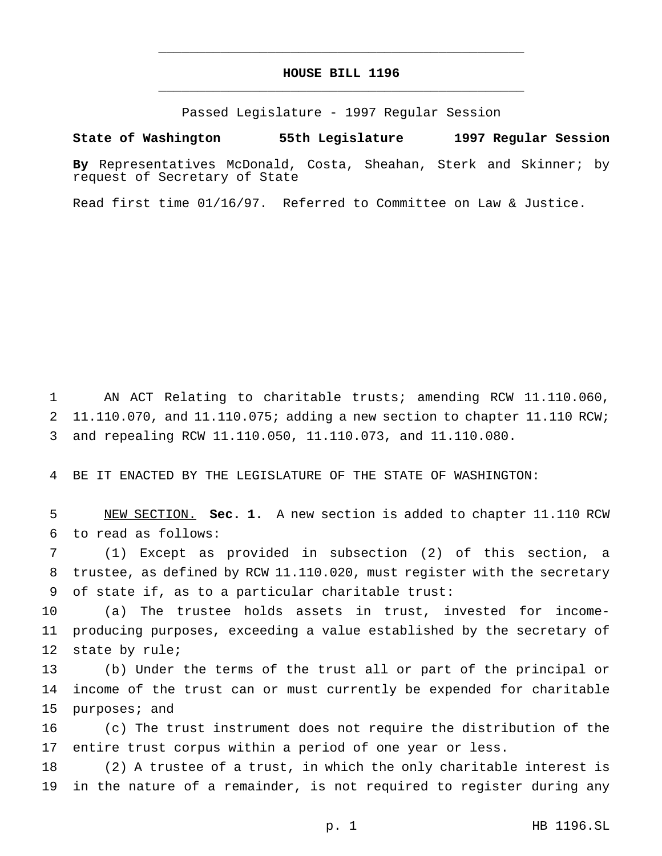# **HOUSE BILL 1196** \_\_\_\_\_\_\_\_\_\_\_\_\_\_\_\_\_\_\_\_\_\_\_\_\_\_\_\_\_\_\_\_\_\_\_\_\_\_\_\_\_\_\_\_\_\_\_

\_\_\_\_\_\_\_\_\_\_\_\_\_\_\_\_\_\_\_\_\_\_\_\_\_\_\_\_\_\_\_\_\_\_\_\_\_\_\_\_\_\_\_\_\_\_\_

Passed Legislature - 1997 Regular Session

#### **State of Washington 55th Legislature 1997 Regular Session**

**By** Representatives McDonald, Costa, Sheahan, Sterk and Skinner; by request of Secretary of State

Read first time 01/16/97. Referred to Committee on Law & Justice.

1 AN ACT Relating to charitable trusts; amending RCW 11.110.060, 2 11.110.070, and  $11.110.075$ ; adding a new section to chapter 11.110 RCW; 3 and repealing RCW 11.110.050, 11.110.073, and 11.110.080.

4 BE IT ENACTED BY THE LEGISLATURE OF THE STATE OF WASHINGTON:

5 NEW SECTION. **Sec. 1.** A new section is added to chapter 11.110 RCW 6 to read as follows:

7 (1) Except as provided in subsection (2) of this section, a 8 trustee, as defined by RCW 11.110.020, must register with the secretary 9 of state if, as to a particular charitable trust:

10 (a) The trustee holds assets in trust, invested for income-11 producing purposes, exceeding a value established by the secretary of 12 state by rule;

13 (b) Under the terms of the trust all or part of the principal or 14 income of the trust can or must currently be expended for charitable 15 purposes; and

16 (c) The trust instrument does not require the distribution of the 17 entire trust corpus within a period of one year or less.

18 (2) A trustee of a trust, in which the only charitable interest is 19 in the nature of a remainder, is not required to register during any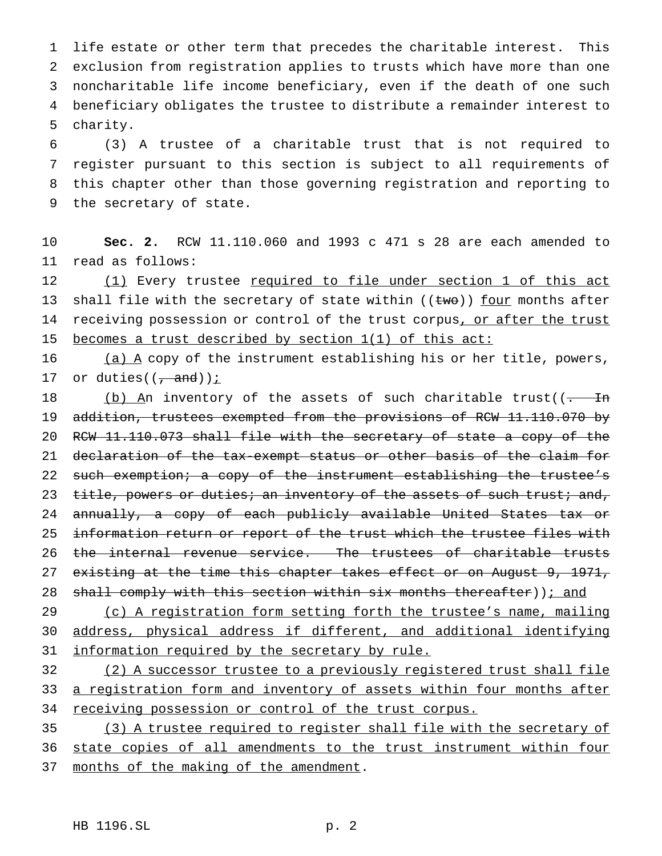life estate or other term that precedes the charitable interest. This exclusion from registration applies to trusts which have more than one noncharitable life income beneficiary, even if the death of one such beneficiary obligates the trustee to distribute a remainder interest to 5 charity.

 (3) A trustee of a charitable trust that is not required to register pursuant to this section is subject to all requirements of this chapter other than those governing registration and reporting to the secretary of state.

10 **Sec. 2.** RCW 11.110.060 and 1993 c 471 s 28 are each amended to 11 read as follows:

12 (1) Every trustee required to file under section 1 of this act 13 shall file with the secretary of state within  $((\text{two}))$  four months after 14 receiving possession or control of the trust corpus, or after the trust 15 becomes a trust described by section 1(1) of this act:

16  $(a)$   $\overline{A}$  copy of the instrument establishing his or her title, powers, 17 or duties( $\left(\frac{1}{\epsilon_1}, \frac{1}{\epsilon_2}, \frac{1}{\epsilon_3}\right)$ ) :

18 (b) An inventory of the assets of such charitable trust((- In 19 addition, trustees exempted from the provisions of RCW 11.110.070 by 20 RCW 11.110.073 shall file with the secretary of state a copy of the 21 declaration of the tax-exempt status or other basis of the claim for 22 such exemption; a copy of the instrument establishing the trustee's 23 title, powers or duties; an inventory of the assets of such trust; and, 24 annually, a copy of each publicly available United States tax or 25 information return or report of the trust which the trustee files with 26 the internal revenue service. The trustees of charitable trusts 27 existing at the time this chapter takes effect or on August 9, 1971, 28 shall comply with this section within six months thereafter)); and

29 (c) A registration form setting forth the trustee's name, mailing 30 address, physical address if different, and additional identifying 31 information required by the secretary by rule.

32 (2) A successor trustee to a previously registered trust shall file 33 a registration form and inventory of assets within four months after 34 receiving possession or control of the trust corpus.

35 (3) A trustee required to register shall file with the secretary of 36 state copies of all amendments to the trust instrument within four 37 months of the making of the amendment.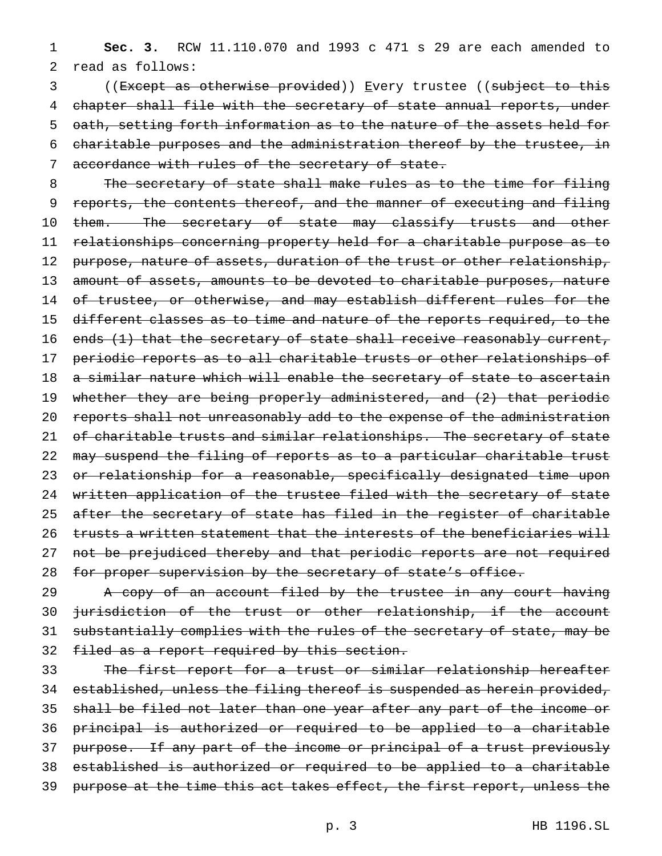1 **Sec. 3.** RCW 11.110.070 and 1993 c 471 s 29 are each amended to 2 read as follows:

3 ((Except as otherwise provided)) Every trustee ((subject to this 4 chapter shall file with the secretary of state annual reports, under 5 oath, setting forth information as to the nature of the assets held for 6 charitable purposes and the administration thereof by the trustee, in 7 accordance with rules of the secretary of state.

8 The secretary of state shall make rules as to the time for filing 9 reports, the contents thereof, and the manner of executing and filing 10 them. The secretary of state may classify trusts and other 11 relationships concerning property held for a charitable purpose as to 12 purpose, nature of assets, duration of the trust or other relationship, 13 amount of assets, amounts to be devoted to charitable purposes, nature 14 of trustee, or otherwise, and may establish different rules for the 15 different classes as to time and nature of the reports required, to the 16 ends (1) that the secretary of state shall receive reasonably current, 17 periodic reports as to all charitable trusts or other relationships of 18 a similar nature which will enable the secretary of state to ascertain 19 whether they are being properly administered, and (2) that periodic 20 reports shall not unreasonably add to the expense of the administration 21 of charitable trusts and similar relationships. The secretary of state 22 may suspend the filing of reports as to a particular charitable trust 23 or relationship for a reasonable, specifically designated time upon 24 written application of the trustee filed with the secretary of state 25 after the secretary of state has filed in the register of charitable 26 trusts a written statement that the interests of the beneficiaries will 27 not be prejudiced thereby and that periodic reports are not required 28 for proper supervision by the secretary of state's office.

29 A copy of an account filed by the trustee in any court having 30 jurisdiction of the trust or other relationship, if the account 31 substantially complies with the rules of the secretary of state, may be 32 filed as a report required by this section.

33 The first report for a trust or similar relationship hereafter 34 established, unless the filing thereof is suspended as herein provided, 35 shall be filed not later than one year after any part of the income or 36 principal is authorized or required to be applied to a charitable 37 purpose. If any part of the income or principal of a trust previously 38 established is authorized or required to be applied to a charitable 39 purpose at the time this act takes effect, the first report, unless the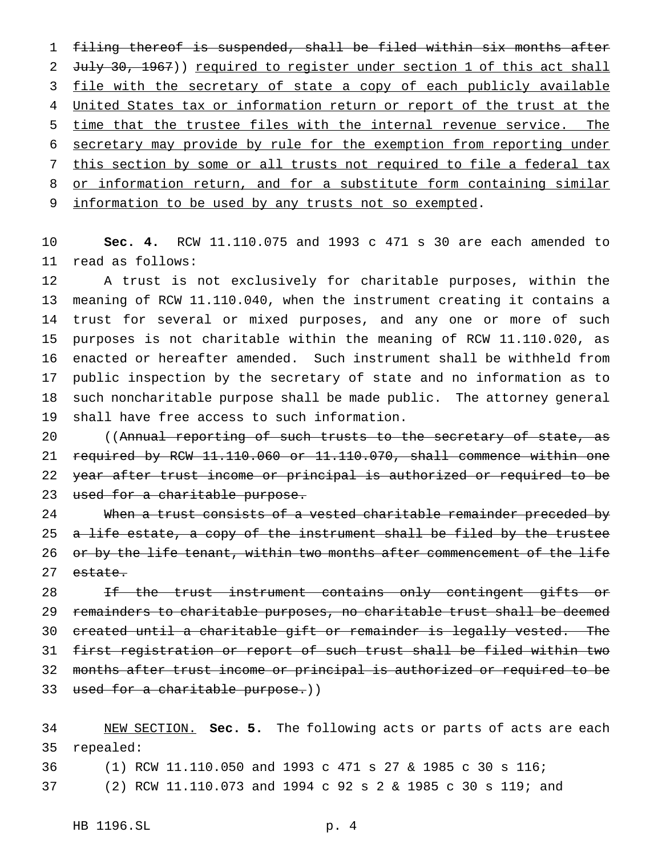filing thereof is suspended, shall be filed within six months after 2 July 30, 1967)) required to register under section 1 of this act shall 3 file with the secretary of state a copy of each publicly available 4 United States tax or information return or report of the trust at the time that the trustee files with the internal revenue service. The secretary may provide by rule for the exemption from reporting under this section by some or all trusts not required to file a federal tax 8 or information return, and for a substitute form containing similar information to be used by any trusts not so exempted.

 **Sec. 4.** RCW 11.110.075 and 1993 c 471 s 30 are each amended to read as follows:

 A trust is not exclusively for charitable purposes, within the meaning of RCW 11.110.040, when the instrument creating it contains a trust for several or mixed purposes, and any one or more of such purposes is not charitable within the meaning of RCW 11.110.020, as enacted or hereafter amended. Such instrument shall be withheld from public inspection by the secretary of state and no information as to such noncharitable purpose shall be made public. The attorney general shall have free access to such information.

20 ((Annual reporting of such trusts to the secretary of state, as required by RCW 11.110.060 or 11.110.070, shall commence within one 22 year after trust income or principal is authorized or required to be 23 used for a charitable purpose.

24 When a trust consists of a vested charitable remainder preceded by 25 a life estate, a copy of the instrument shall be filed by the trustee 26 or by the life tenant, within two months after commencement of the life 27 estate.

28 If the trust instrument contains only contingent gifts or remainders to charitable purposes, no charitable trust shall be deemed created until a charitable gift or remainder is legally vested. The first registration or report of such trust shall be filed within two months after trust income or principal is authorized or required to be 33 used for a charitable purpose.))

 NEW SECTION. **Sec. 5.** The following acts or parts of acts are each repealed:

 (1) RCW 11.110.050 and 1993 c 471 s 27 & 1985 c 30 s 116; (2) RCW 11.110.073 and 1994 c 92s2& 1985 c 30 s 119; and